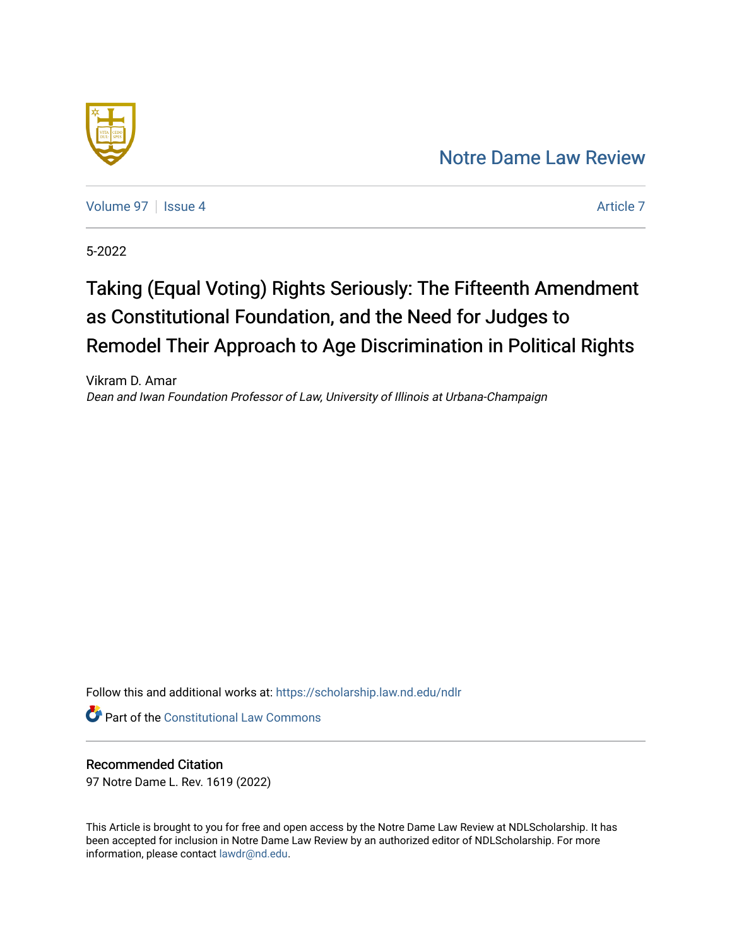## [Notre Dame Law Review](https://scholarship.law.nd.edu/ndlr)



[Volume 97](https://scholarship.law.nd.edu/ndlr/vol97) | [Issue 4](https://scholarship.law.nd.edu/ndlr/vol97/iss4) Article 7

5-2022

# Taking (Equal Voting) Rights Seriously: The Fifteenth Amendment as Constitutional Foundation, and the Need for Judges to Remodel Their Approach to Age Discrimination in Political Rights

Vikram D. Amar Dean and Iwan Foundation Professor of Law, University of Illinois at Urbana-Champaign

Follow this and additional works at: [https://scholarship.law.nd.edu/ndlr](https://scholarship.law.nd.edu/ndlr?utm_source=scholarship.law.nd.edu%2Fndlr%2Fvol97%2Fiss4%2F7&utm_medium=PDF&utm_campaign=PDFCoverPages)

**Part of the Constitutional Law Commons** 

## Recommended Citation

97 Notre Dame L. Rev. 1619 (2022)

This Article is brought to you for free and open access by the Notre Dame Law Review at NDLScholarship. It has been accepted for inclusion in Notre Dame Law Review by an authorized editor of NDLScholarship. For more information, please contact [lawdr@nd.edu.](mailto:lawdr@nd.edu)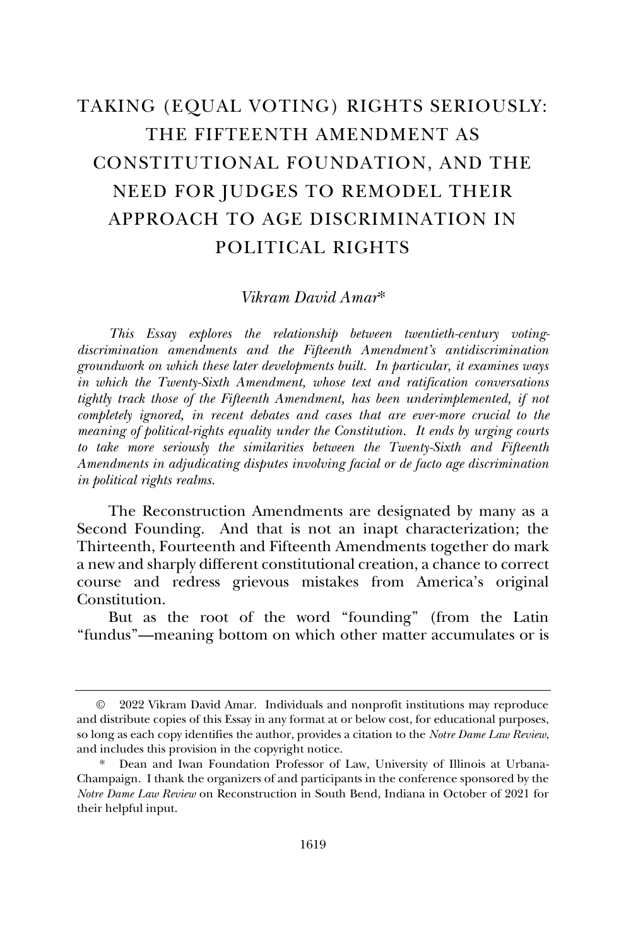## TAKING (EQUAL VOTING) RIGHTS SERIOUSLY: THE FIFTEENTH AMENDMENT AS CONSTITUTIONAL FOUNDATION, AND THE NEED FOR JUDGES TO REMODEL THEIR APPROACH TO AGE DISCRIMINATION IN POLITICAL RIGHTS

### *Vikram David Amar*\*

*This Essay explores the relationship between twentieth-century votingdiscrimination amendments and the Fifteenth Amendment's antidiscrimination groundwork on which these later developments built. In particular, it examines ways in which the Twenty-Sixth Amendment, whose text and ratification conversations tightly track those of the Fifteenth Amendment, has been underimplemented, if not completely ignored, in recent debates and cases that are ever-more crucial to the meaning of political-rights equality under the Constitution. It ends by urging courts to take more seriously the similarities between the Twenty-Sixth and Fifteenth Amendments in adjudicating disputes involving facial or de facto age discrimination in political rights realms.*

The Reconstruction Amendments are designated by many as a Second Founding. And that is not an inapt characterization; the Thirteenth, Fourteenth and Fifteenth Amendments together do mark a new and sharply different constitutional creation, a chance to correct course and redress grievous mistakes from America's original Constitution.

But as the root of the word "founding" (from the Latin "fundus"—meaning bottom on which other matter accumulates or is

<sup>©</sup> 2022 Vikram David Amar. Individuals and nonprofit institutions may reproduce and distribute copies of this Essay in any format at or below cost, for educational purposes, so long as each copy identifies the author, provides a citation to the *Notre Dame Law Review*, and includes this provision in the copyright notice.

Dean and Iwan Foundation Professor of Law, University of Illinois at Urbana-Champaign. I thank the organizers of and participants in the conference sponsored by the *Notre Dame Law Review* on Reconstruction in South Bend, Indiana in October of 2021 for their helpful input.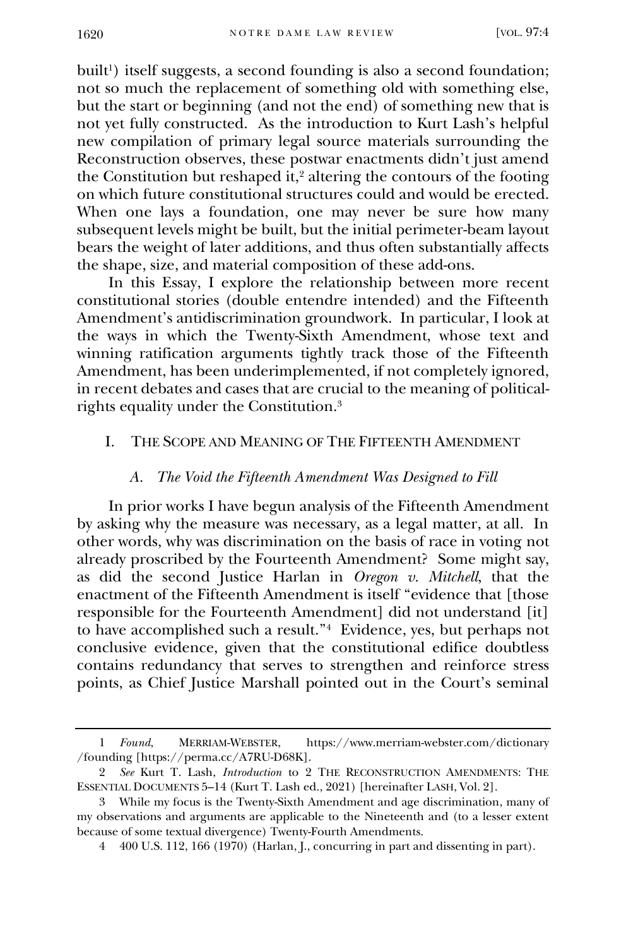built<sup>1</sup>) itself suggests, a second founding is also a second foundation; not so much the replacement of something old with something else, but the start or beginning (and not the end) of something new that is not yet fully constructed. As the introduction to Kurt Lash's helpful new compilation of primary legal source materials surrounding the Reconstruction observes, these postwar enactments didn't just amend the Constitution but reshaped it,<sup>2</sup> altering the contours of the footing on which future constitutional structures could and would be erected. When one lays a foundation, one may never be sure how many subsequent levels might be built, but the initial perimeter-beam layout bears the weight of later additions, and thus often substantially affects the shape, size, and material composition of these add-ons.

In this Essay, I explore the relationship between more recent constitutional stories (double entendre intended) and the Fifteenth Amendment's antidiscrimination groundwork. In particular, I look at the ways in which the Twenty-Sixth Amendment, whose text and winning ratification arguments tightly track those of the Fifteenth Amendment, has been underimplemented, if not completely ignored, in recent debates and cases that are crucial to the meaning of politicalrights equality under the Constitution.<sup>3</sup>

#### I. THE SCOPE AND MEANING OF THE FIFTEENTH AMENDMENT

#### *A. The Void the Fifteenth Amendment Was Designed to Fill*

In prior works I have begun analysis of the Fifteenth Amendment by asking why the measure was necessary, as a legal matter, at all. In other words, why was discrimination on the basis of race in voting not already proscribed by the Fourteenth Amendment? Some might say, as did the second Justice Harlan in *Oregon v. Mitchell*, that the enactment of the Fifteenth Amendment is itself "evidence that [those responsible for the Fourteenth Amendment] did not understand [it] to have accomplished such a result."<sup>4</sup> Evidence, yes, but perhaps not conclusive evidence, given that the constitutional edifice doubtless contains redundancy that serves to strengthen and reinforce stress points, as Chief Justice Marshall pointed out in the Court's seminal

<sup>1</sup> *Found*, MERRIAM-WEBSTER, https://www.merriam-webster.com/dictionary /founding [https://perma.cc/A7RU-D68K].

<sup>2</sup> *See* Kurt T. Lash, *Introduction* to 2 THE RECONSTRUCTION AMENDMENTS: THE ESSENTIAL DOCUMENTS 5–14 (Kurt T. Lash ed., 2021) [hereinafter LASH, Vol. 2].

<sup>3</sup> While my focus is the Twenty-Sixth Amendment and age discrimination, many of my observations and arguments are applicable to the Nineteenth and (to a lesser extent because of some textual divergence) Twenty-Fourth Amendments.

<sup>4</sup> 400 U.S. 112, 166 (1970) (Harlan, J., concurring in part and dissenting in part).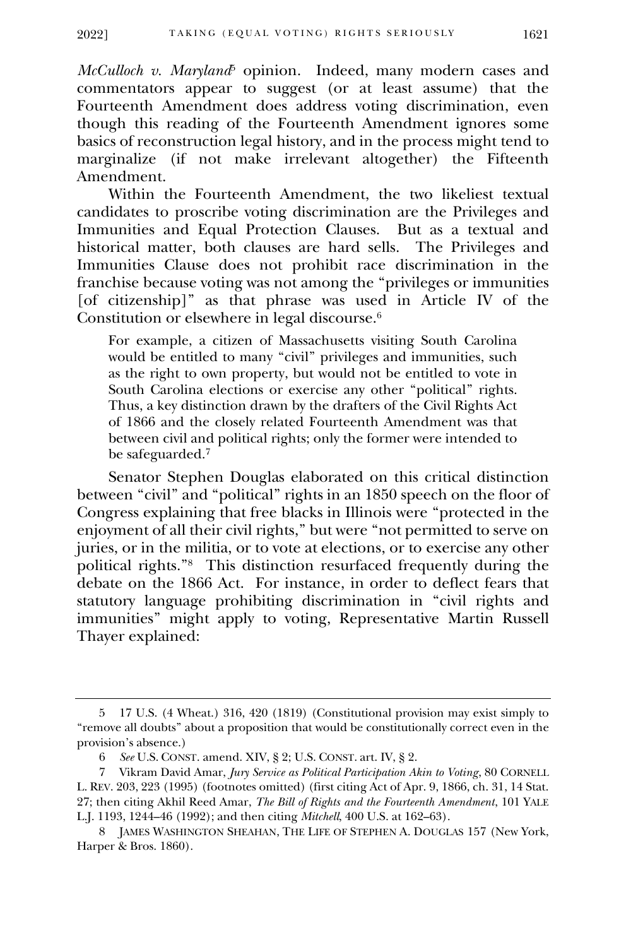*McCulloch v. Maryland*<sup>5</sup> opinion. Indeed, many modern cases and commentators appear to suggest (or at least assume) that the Fourteenth Amendment does address voting discrimination, even though this reading of the Fourteenth Amendment ignores some basics of reconstruction legal history, and in the process might tend to marginalize (if not make irrelevant altogether) the Fifteenth Amendment.

Within the Fourteenth Amendment, the two likeliest textual candidates to proscribe voting discrimination are the Privileges and Immunities and Equal Protection Clauses. But as a textual and historical matter, both clauses are hard sells. The Privileges and Immunities Clause does not prohibit race discrimination in the franchise because voting was not among the "privileges or immunities [of citizenship]" as that phrase was used in Article IV of the Constitution or elsewhere in legal discourse.<sup>6</sup>

For example, a citizen of Massachusetts visiting South Carolina would be entitled to many "civil" privileges and immunities, such as the right to own property, but would not be entitled to vote in South Carolina elections or exercise any other "political" rights. Thus, a key distinction drawn by the drafters of the Civil Rights Act of 1866 and the closely related Fourteenth Amendment was that between civil and political rights; only the former were intended to be safeguarded.<sup>7</sup>

Senator Stephen Douglas elaborated on this critical distinction between "civil" and "political" rights in an 1850 speech on the floor of Congress explaining that free blacks in Illinois were "protected in the enjoyment of all their civil rights," but were "not permitted to serve on juries, or in the militia, or to vote at elections, or to exercise any other political rights."<sup>8</sup> This distinction resurfaced frequently during the debate on the 1866 Act. For instance, in order to deflect fears that statutory language prohibiting discrimination in "civil rights and immunities" might apply to voting, Representative Martin Russell Thayer explained:

<sup>5</sup> 17 U.S. (4 Wheat.) 316, 420 (1819) (Constitutional provision may exist simply to "remove all doubts" about a proposition that would be constitutionally correct even in the provision's absence.)

<sup>6</sup> *See* U.S. CONST. amend. XIV, § 2; U.S. CONST. art. IV, § 2.

<sup>7</sup> Vikram David Amar, *Jury Service as Political Participation Akin to Voting*, 80 CORNELL L. REV. 203, 223 (1995) (footnotes omitted) (first citing Act of Apr. 9, 1866, ch. 31, 14 Stat. 27; then citing Akhil Reed Amar, *The Bill of Rights and the Fourteenth Amendment*, 101 YALE L.J. 1193, 1244–46 (1992); and then citing *Mitchell*, 400 U.S. at 162–63).

<sup>8</sup> JAMES WASHINGTON SHEAHAN, THE LIFE OF STEPHEN A. DOUGLAS 157 (New York, Harper & Bros. 1860).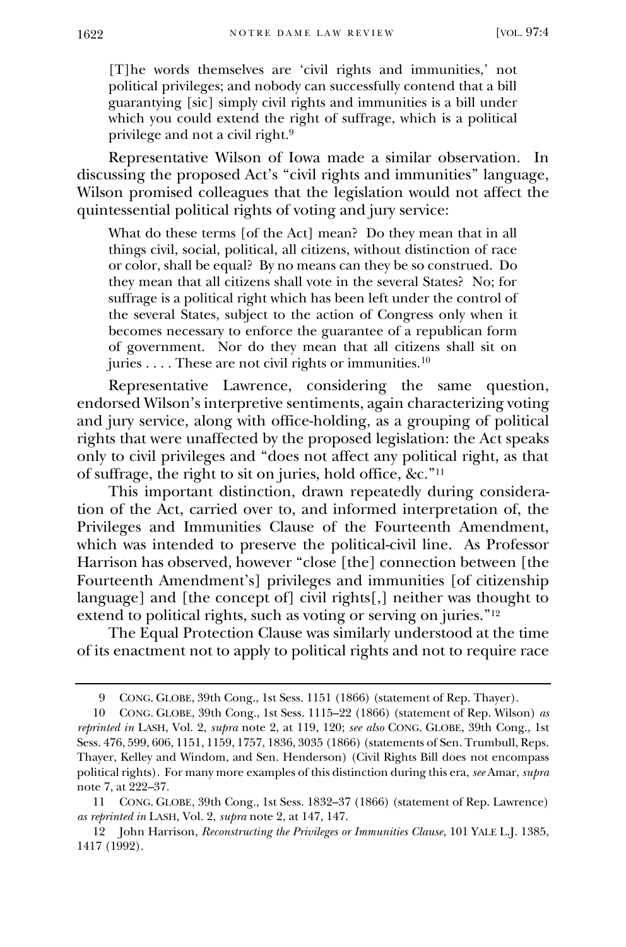[T]he words themselves are 'civil rights and immunities,' not political privileges; and nobody can successfully contend that a bill guarantying [sic] simply civil rights and immunities is a bill under which you could extend the right of suffrage, which is a political privilege and not a civil right.<sup>9</sup>

Representative Wilson of Iowa made a similar observation. In discussing the proposed Act's "civil rights and immunities" language, Wilson promised colleagues that the legislation would not affect the quintessential political rights of voting and jury service:

What do these terms [of the Act] mean? Do they mean that in all things civil, social, political, all citizens, without distinction of race or color, shall be equal? By no means can they be so construed. Do they mean that all citizens shall vote in the several States? No; for suffrage is a political right which has been left under the control of the several States, subject to the action of Congress only when it becomes necessary to enforce the guarantee of a republican form of government. Nor do they mean that all citizens shall sit on juries  $\dots$ . These are not civil rights or immunities.<sup>10</sup>

Representative Lawrence, considering the same question, endorsed Wilson's interpretive sentiments, again characterizing voting and jury service, along with office-holding, as a grouping of political rights that were unaffected by the proposed legislation: the Act speaks only to civil privileges and "does not affect any political right, as that of suffrage, the right to sit on juries, hold office, &c." 11

This important distinction, drawn repeatedly during consideration of the Act, carried over to, and informed interpretation of, the Privileges and Immunities Clause of the Fourteenth Amendment, which was intended to preserve the political-civil line. As Professor Harrison has observed, however "close [the] connection between [the Fourteenth Amendment's] privileges and immunities [of citizenship language] and [the concept of] civil rights[,] neither was thought to extend to political rights, such as voting or serving on juries."<sup>12</sup>

The Equal Protection Clause was similarly understood at the time of its enactment not to apply to political rights and not to require race

<sup>9</sup> CONG. GLOBE, 39th Cong., 1st Sess. 1151 (1866) (statement of Rep. Thayer).

<sup>10</sup> CONG. GLOBE, 39th Cong., 1st Sess. 1115–22 (1866) (statement of Rep. Wilson) *as reprinted in* LASH, Vol. 2, *supra* note 2, at 119, 120; *see also* CONG. GLOBE, 39th Cong., 1st Sess. 476, 599, 606, 1151, 1159, 1757, 1836, 3035 (1866) (statements of Sen. Trumbull, Reps. Thayer, Kelley and Windom, and Sen. Henderson) (Civil Rights Bill does not encompass political rights). For many more examples of this distinction during this era, *see* Amar, *supra*  note 7, at 222–37.

<sup>11</sup> CONG. GLOBE, 39th Cong., 1st Sess. 1832–37 (1866) (statement of Rep. Lawrence) *as reprinted in* LASH, Vol. 2, *supra* note 2, at 147, 147.

<sup>12</sup> John Harrison, *[Reconstructing the Privileges or Immunities Clause](http://www.westlaw.com/Link/Document/FullText?findType=Y&serNum=0101526335&pubNum=1292&originatingDoc=I5eec5e7123ea11dbbab99dfb880c57ae&refType=LR&fi=co_pp_sp_1292_1440&originationContext=document&vr=3.0&rs=cblt1.0&transitionType=DocumentItem&contextData=(sc.Search)#co_pp_sp_1292_1440)*, 101 YALE L.J. 1385, [1417 \(1992\).](http://www.westlaw.com/Link/Document/FullText?findType=Y&serNum=0101526335&pubNum=1292&originatingDoc=I5eec5e7123ea11dbbab99dfb880c57ae&refType=LR&fi=co_pp_sp_1292_1440&originationContext=document&vr=3.0&rs=cblt1.0&transitionType=DocumentItem&contextData=(sc.Search)#co_pp_sp_1292_1440)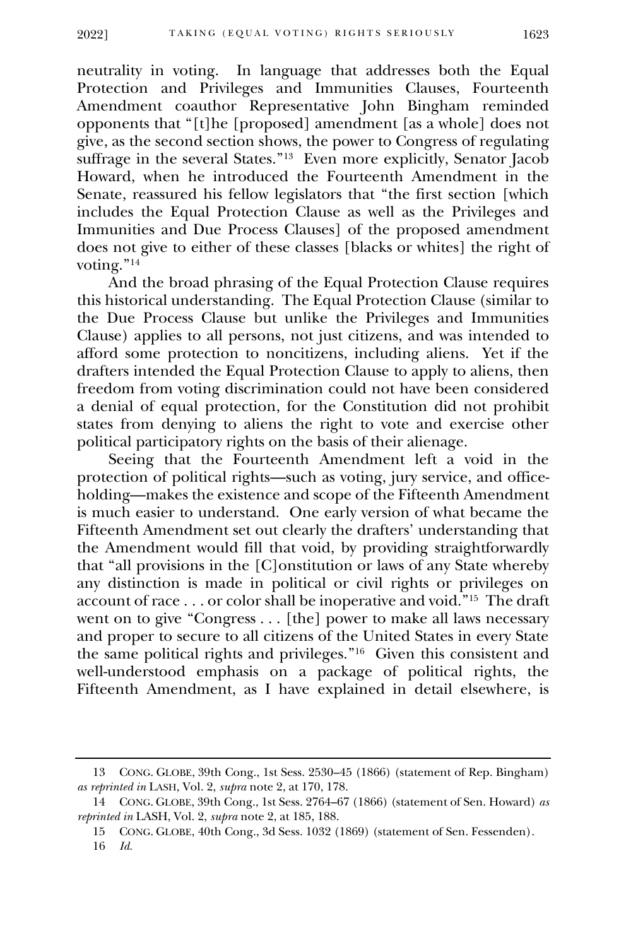neutrality in voting. In language that addresses both the Equal Protection and Privileges and Immunities Clauses, Fourteenth Amendment coauthor Representative John Bingham reminded opponents that "[t]he [proposed] amendment [as a whole] does not give, as the second section shows, the power to Congress of regulating suffrage in the several States."<sup>13</sup> Even more explicitly, Senator Jacob Howard, when he introduced the Fourteenth Amendment in the Senate, reassured his fellow legislators that "the first section [which includes the Equal Protection Clause as well as the Privileges and Immunities and Due Process Clauses] of the proposed amendment does not give to either of these classes [blacks or whites] the right of voting."<sup>14</sup>

And the broad phrasing of the Equal Protection Clause requires this historical understanding. The Equal Protection Clause (similar to the Due Process Clause but unlike the Privileges and Immunities Clause) applies to all persons, not just citizens, and was intended to afford some protection to noncitizens, including aliens. Yet if the drafters intended the Equal Protection Clause to apply to aliens, then freedom from voting discrimination could not have been considered a denial of equal protection, for the Constitution did not prohibit states from denying to aliens the right to vote and exercise other political participatory rights on the basis of their alienage.

Seeing that the Fourteenth Amendment left a void in the protection of political rights—such as voting, jury service, and officeholding—makes the existence and scope of the Fifteenth Amendment is much easier to understand. One early version of what became the Fifteenth Amendment set out clearly the drafters' understanding that the Amendment would fill that void, by providing straightforwardly that "all provisions in the [C]onstitution or laws of any State whereby any distinction is made in political or civil rights or privileges on account of race . . . or color shall be inoperative and void."<sup>15</sup> The draft went on to give "Congress . . . [the] power to make all laws necessary and proper to secure to all citizens of the United States in every State the same political rights and privileges." 16 Given this consistent and well-understood emphasis on a package of political rights, the Fifteenth Amendment, as I have explained in detail elsewhere, is

<sup>13</sup> CONG. GLOBE, 39th Cong., 1st Sess. 2530–45 (1866) (statement of Rep. Bingham) *as reprinted in* LASH, Vol. 2, *supra* note 2, at 170, 178.

<sup>14</sup> CONG. GLOBE, 39th Cong., 1st Sess. 2764–67 (1866) (statement of Sen. Howard) *as reprinted in* LASH, Vol. 2, *supra* note 2, at 185, 188.

<sup>15</sup> CONG. GLOBE, 40th Cong., 3d Sess. 1032 (1869) (statement of Sen. Fessenden).

<sup>16</sup> *Id.*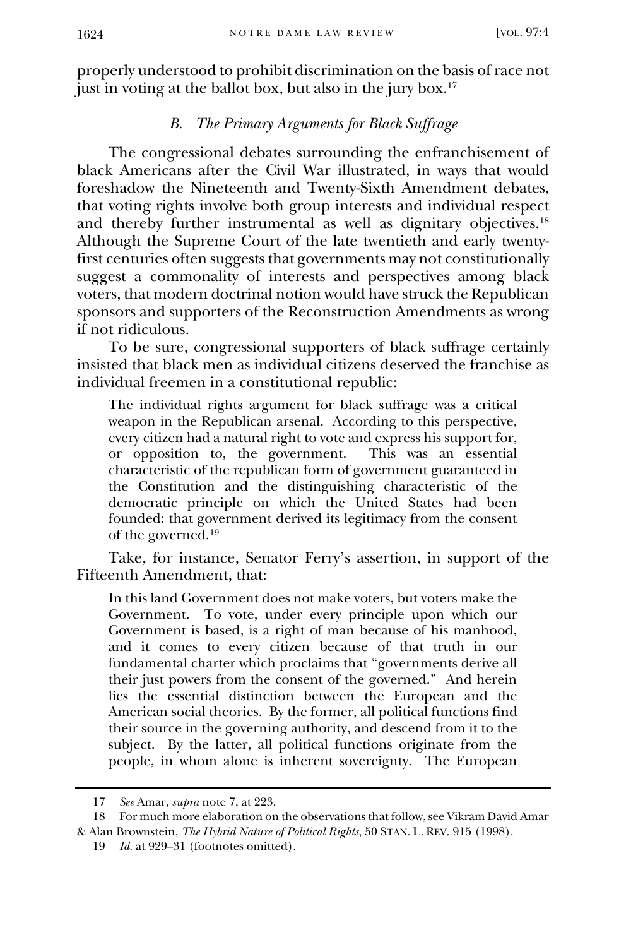properly understood to prohibit discrimination on the basis of race not just in voting at the ballot box, but also in the jury box.<sup>17</sup>

### *B. The Primary Arguments for Black Suffrage*

The congressional debates surrounding the enfranchisement of black Americans after the Civil War illustrated, in ways that would foreshadow the Nineteenth and Twenty-Sixth Amendment debates, that voting rights involve both group interests and individual respect and thereby further instrumental as well as dignitary objectives.<sup>18</sup> Although the Supreme Court of the late twentieth and early twentyfirst centuries often suggests that governments may not constitutionally suggest a commonality of interests and perspectives among black voters, that modern doctrinal notion would have struck the Republican sponsors and supporters of the Reconstruction Amendments as wrong if not ridiculous.

To be sure, congressional supporters of black suffrage certainly insisted that black men as individual citizens deserved the franchise as individual freemen in a constitutional republic:

The individual rights argument for black suffrage was a critical weapon in the Republican arsenal. According to this perspective, every citizen had a natural right to vote and express his support for,<br>or opposition to, the government. This was an essential or opposition to, the government. characteristic of the republican form of government guaranteed in the Constitution and the distinguishing characteristic of the democratic principle on which the United States had been founded: that government derived its legitimacy from the consent of the governed.<sup>19</sup>

Take, for instance, Senator Ferry's assertion, in support of the Fifteenth Amendment, that:

In this land Government does not make voters, but voters make the Government. To vote, under every principle upon which our Government is based, is a right of man because of his manhood, and it comes to every citizen because of that truth in our fundamental charter which proclaims that "governments derive all their just powers from the consent of the governed." And herein lies the essential distinction between the European and the American social theories. By the former, all political functions find their source in the governing authority, and descend from it to the subject. By the latter, all political functions originate from the people, in whom alone is inherent sovereignty. The European

<sup>17</sup> *See* Amar, *supra* note 7, at 223.

<sup>18</sup> For much more elaboration on the observations that follow, see Vikram David Amar & Alan Brownstein, *The Hybrid Nature of Political Rights*, 50 STAN. L. REV. 915 (1998).

<sup>19</sup> *Id.* at 929–31 (footnotes omitted).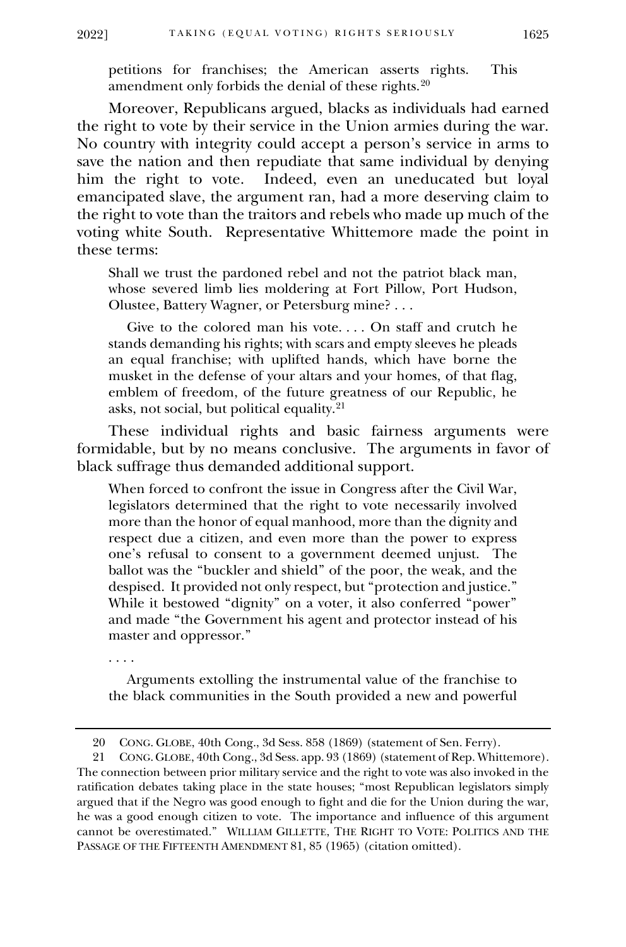petitions for franchises; the American asserts rights. This amendment only forbids the denial of these rights.<sup>20</sup>

Moreover, Republicans argued, blacks as individuals had earned the right to vote by their service in the Union armies during the war. No country with integrity could accept a person's service in arms to save the nation and then repudiate that same individual by denying him the right to vote. Indeed, even an uneducated but loyal emancipated slave, the argument ran, had a more deserving claim to the right to vote than the traitors and rebels who made up much of the voting white South. Representative Whittemore made the point in these terms:

Shall we trust the pardoned rebel and not the patriot black man, whose severed limb lies moldering at Fort Pillow, Port Hudson, Olustee, Battery Wagner, or Petersburg mine? . . .

 Give to the colored man his vote. . . . On staff and crutch he stands demanding his rights; with scars and empty sleeves he pleads an equal franchise; with uplifted hands, which have borne the musket in the defense of your altars and your homes, of that flag, emblem of freedom, of the future greatness of our Republic, he asks, not social, but political equality.<sup>21</sup>

These individual rights and basic fairness arguments were formidable, but by no means conclusive. The arguments in favor of black suffrage thus demanded additional support.

When forced to confront the issue in Congress after the Civil War, legislators determined that the right to vote necessarily involved more than the honor of equal manhood, more than the dignity and respect due a citizen, and even more than the power to express one's refusal to consent to a government deemed unjust. The ballot was the "buckler and shield" of the poor, the weak, and the despised. It provided not only respect, but "protection and justice." While it bestowed "dignity" on a voter, it also conferred "power" and made "the Government his agent and protector instead of his master and oppressor."

. . . .

 Arguments extolling the instrumental value of the franchise to the black communities in the South provided a new and powerful

<sup>20</sup> CONG. GLOBE, 40th Cong., 3d Sess. 858 (1869) (statement of Sen. Ferry).

<sup>21</sup> CONG. GLOBE, 40th Cong., 3d Sess. app. 93 (1869) (statement of Rep. Whittemore). The connection between prior military service and the right to vote was also invoked in the ratification debates taking place in the state houses; "most Republican legislators simply argued that if the Negro was good enough to fight and die for the Union during the war, he was a good enough citizen to vote. The importance and influence of this argument cannot be overestimated." WILLIAM GILLETTE, THE RIGHT TO VOTE: POLITICS AND THE PASSAGE OF THE FIFTEENTH AMENDMENT 81, 85 (1965) (citation omitted).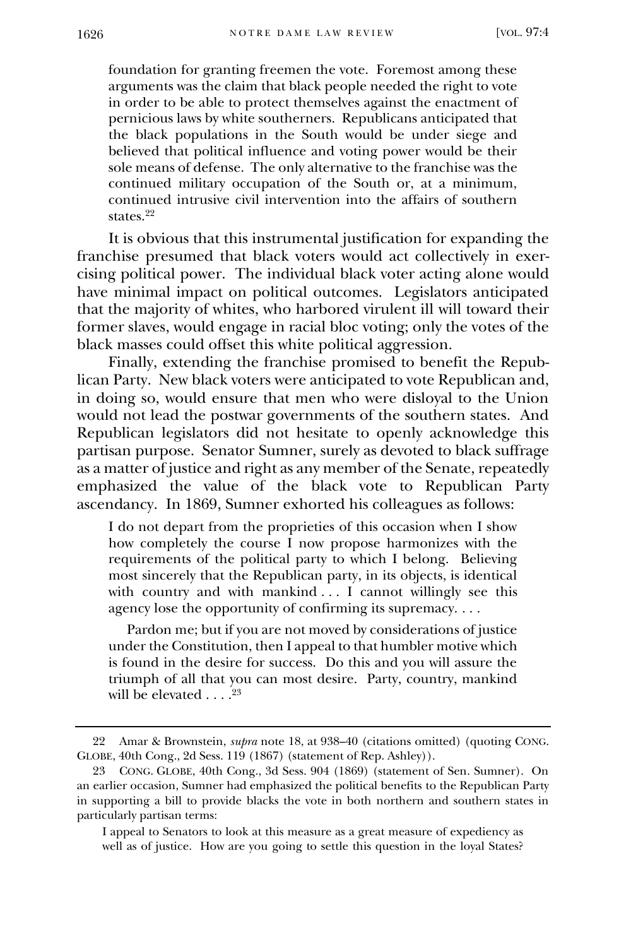foundation for granting freemen the vote. Foremost among these arguments was the claim that black people needed the right to vote in order to be able to protect themselves against the enactment of pernicious laws by white southerners. Republicans anticipated that the black populations in the South would be under siege and believed that political influence and voting power would be their sole means of defense. The only alternative to the franchise was the continued military occupation of the South or, at a minimum, continued intrusive civil intervention into the affairs of southern states.<sup>22</sup>

It is obvious that this instrumental justification for expanding the franchise presumed that black voters would act collectively in exercising political power. The individual black voter acting alone would have minimal impact on political outcomes. Legislators anticipated that the majority of whites, who harbored virulent ill will toward their former slaves, would engage in racial bloc voting; only the votes of the black masses could offset this white political aggression.

Finally, extending the franchise promised to benefit the Republican Party. New black voters were anticipated to vote Republican and, in doing so, would ensure that men who were disloyal to the Union would not lead the postwar governments of the southern states. And Republican legislators did not hesitate to openly acknowledge this partisan purpose. Senator Sumner, surely as devoted to black suffrage as a matter of justice and right as any member of the Senate, repeatedly emphasized the value of the black vote to Republican Party ascendancy. In 1869, Sumner exhorted his colleagues as follows:

I do not depart from the proprieties of this occasion when I show how completely the course I now propose harmonizes with the requirements of the political party to which I belong. Believing most sincerely that the Republican party, in its objects, is identical with country and with mankind . . . I cannot willingly see this agency lose the opportunity of confirming its supremacy. . . .

 Pardon me; but if you are not moved by considerations of justice under the Constitution, then I appeal to that humbler motive which is found in the desire for success. Do this and you will assure the triumph of all that you can most desire. Party, country, mankind will be elevated  $\ldots$ .<sup>23</sup>

I appeal to Senators to look at this measure as a great measure of expediency as well as of justice. How are you going to settle this question in the loyal States?

<sup>22</sup> Amar & Brownstein, *supra* note 18, at 938–40 (citations omitted) (quoting CONG. GLOBE, 40th Cong., 2d Sess. 119 (1867) (statement of Rep. Ashley)).

<sup>23</sup> CONG. GLOBE, 40th Cong., 3d Sess. 904 (1869) (statement of Sen. Sumner). On an earlier occasion, Sumner had emphasized the political benefits to the Republican Party in supporting a bill to provide blacks the vote in both northern and southern states in particularly partisan terms: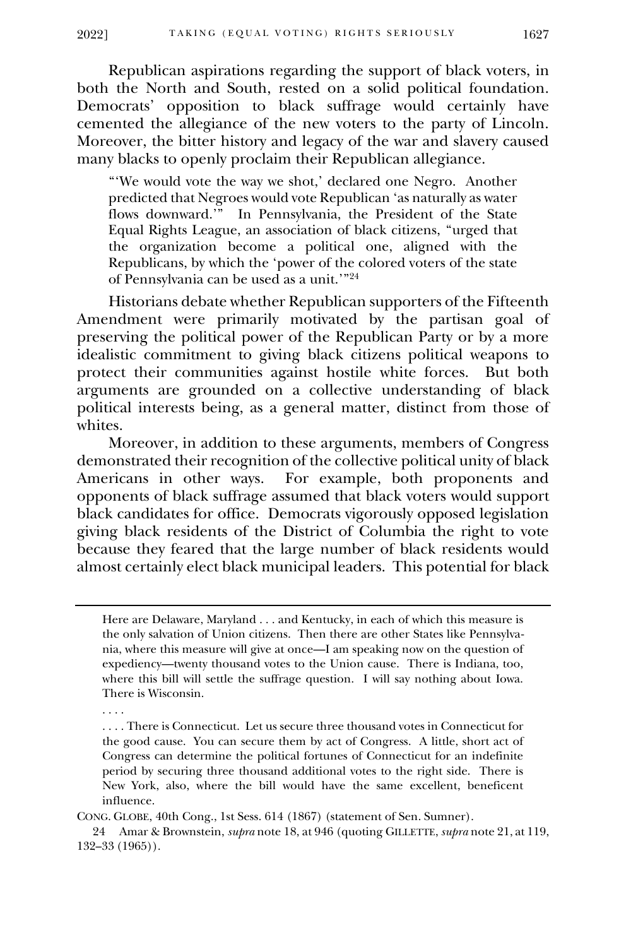Republican aspirations regarding the support of black voters, in both the North and South, rested on a solid political foundation. Democrats' opposition to black suffrage would certainly have cemented the allegiance of the new voters to the party of Lincoln. Moreover, the bitter history and legacy of the war and slavery caused many blacks to openly proclaim their Republican allegiance.

"'We would vote the way we shot,' declared one Negro. Another predicted that Negroes would vote Republican 'as naturally as water flows downward.'" In Pennsylvania, the President of the State Equal Rights League, an association of black citizens, "urged that the organization become a political one, aligned with the Republicans, by which the 'power of the colored voters of the state of Pennsylvania can be used as a unit.'" 24

Historians debate whether Republican supporters of the Fifteenth Amendment were primarily motivated by the partisan goal of preserving the political power of the Republican Party or by a more idealistic commitment to giving black citizens political weapons to protect their communities against hostile white forces. But both arguments are grounded on a collective understanding of black political interests being, as a general matter, distinct from those of whites.

Moreover, in addition to these arguments, members of Congress demonstrated their recognition of the collective political unity of black Americans in other ways. For example, both proponents and opponents of black suffrage assumed that black voters would support black candidates for office. Democrats vigorously opposed legislation giving black residents of the District of Columbia the right to vote because they feared that the large number of black residents would almost certainly elect black municipal leaders. This potential for black

. . . .

CONG. GLOBE, 40th Cong., 1st Sess. 614 (1867) (statement of Sen. Sumner).

24 Amar & Brownstein, *supra* note 18, at 946 (quoting GILLETTE, *supra* note 21, at 119, 132–33 (1965)).

Here are Delaware, Maryland . . . and Kentucky, in each of which this measure is the only salvation of Union citizens. Then there are other States like Pennsylvania, where this measure will give at once—I am speaking now on the question of expediency—twenty thousand votes to the Union cause. There is Indiana, too, where this bill will settle the suffrage question. I will say nothing about Iowa. There is Wisconsin.

<sup>.</sup> . . . There is Connecticut. Let us secure three thousand votes in Connecticut for the good cause. You can secure them by act of Congress. A little, short act of Congress can determine the political fortunes of Connecticut for an indefinite period by securing three thousand additional votes to the right side. There is New York, also, where the bill would have the same excellent, beneficent influence.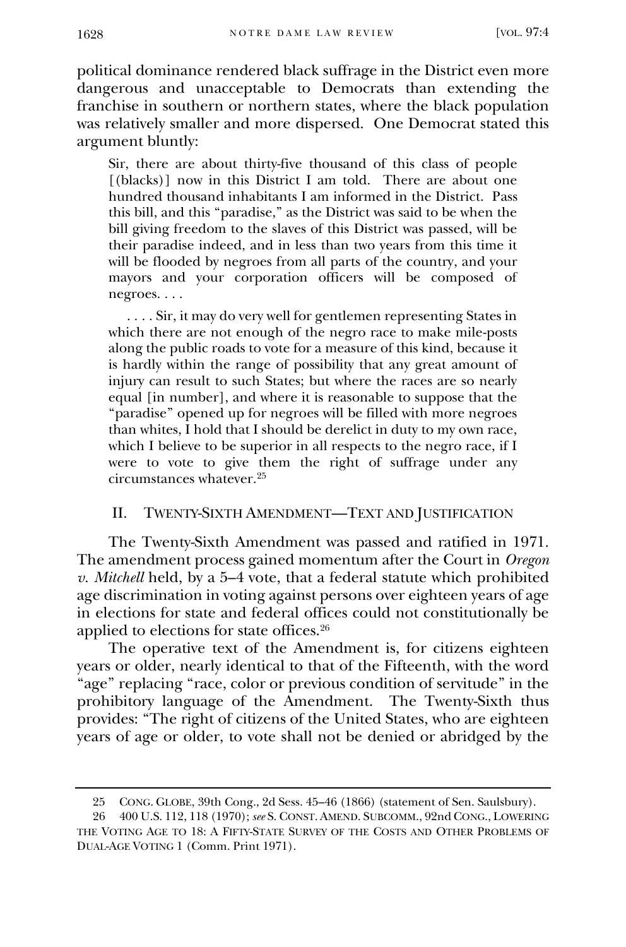political dominance rendered black suffrage in the District even more dangerous and unacceptable to Democrats than extending the franchise in southern or northern states, where the black population was relatively smaller and more dispersed. One Democrat stated this argument bluntly:

Sir, there are about thirty-five thousand of this class of people [(blacks)] now in this District I am told. There are about one hundred thousand inhabitants I am informed in the District. Pass this bill, and this "paradise," as the District was said to be when the bill giving freedom to the slaves of this District was passed, will be their paradise indeed, and in less than two years from this time it will be flooded by negroes from all parts of the country, and your mayors and your corporation officers will be composed of negroes. . . .

 . . . . Sir, it may do very well for gentlemen representing States in which there are not enough of the negro race to make mile-posts along the public roads to vote for a measure of this kind, because it is hardly within the range of possibility that any great amount of injury can result to such States; but where the races are so nearly equal [in number], and where it is reasonable to suppose that the "paradise" opened up for negroes will be filled with more negroes than whites, I hold that I should be derelict in duty to my own race, which I believe to be superior in all respects to the negro race, if I were to vote to give them the right of suffrage under any circumstances whatever.<sup>25</sup>

## II. TWENTY-SIXTH AMENDMENT—TEXT AND JUSTIFICATION

The Twenty-Sixth Amendment was passed and ratified in 1971. The amendment process gained momentum after the Court in *Oregon v. Mitchell* held, by a 5–4 vote, that a federal statute which prohibited age discrimination in voting against persons over eighteen years of age in elections for state and federal offices could not constitutionally be applied to elections for state offices.<sup>26</sup>

The operative text of the Amendment is, for citizens eighteen years or older, nearly identical to that of the Fifteenth, with the word "age" replacing "race, color or previous condition of servitude" in the prohibitory language of the Amendment. The Twenty-Sixth thus provides: "The right of citizens of the United States, who are eighteen years of age or older, to vote shall not be denied or abridged by the

<sup>25</sup> CONG. GLOBE, 39th Cong., 2d Sess. 45–46 (1866) (statement of Sen. Saulsbury).

<sup>26</sup> 400 U.S. 112, 118 (1970); *see* S. CONST. AMEND. SUBCOMM., 92nd CONG., LOWERING THE VOTING AGE TO 18: A FIFTY-STATE SURVEY OF THE COSTS AND OTHER PROBLEMS OF DUAL-AGE VOTING 1 (Comm. Print 1971).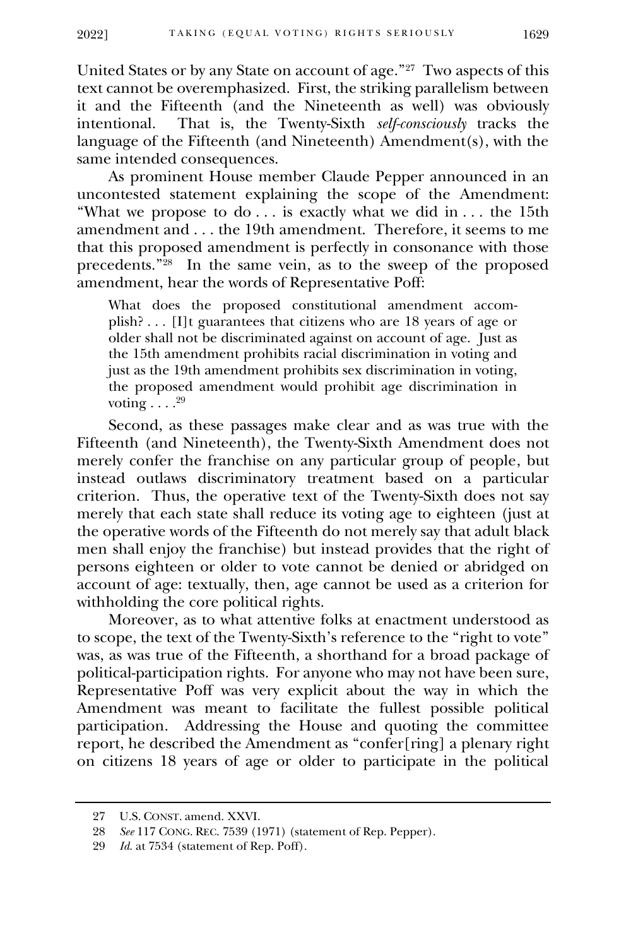United States or by any State on account of age."<sup>27</sup> Two aspects of this text cannot be overemphasized. First, the striking parallelism between it and the Fifteenth (and the Nineteenth as well) was obviously<br>intentional. That is, the Twenty-Sixth *self-consciously* tracks the That is, the Twenty-Sixth *self-consciously* tracks the language of the Fifteenth (and Nineteenth) Amendment(s), with the same intended consequences.

As prominent House member Claude Pepper announced in an uncontested statement explaining the scope of the Amendment: "What we propose to do  $\ldots$  is exactly what we did in  $\ldots$  the 15th amendment and . . . the 19th amendment. Therefore, it seems to me that this proposed amendment is perfectly in consonance with those precedents."<sup>28</sup> In the same vein, as to the sweep of the proposed amendment, hear the words of Representative Poff:

What does the proposed constitutional amendment accomplish? . . . [I]t guarantees that citizens who are 18 years of age or older shall not be discriminated against on account of age. Just as the 15th amendment prohibits racial discrimination in voting and just as the 19th amendment prohibits sex discrimination in voting, the proposed amendment would prohibit age discrimination in voting  $\ldots .^{29}$ 

Second, as these passages make clear and as was true with the Fifteenth (and Nineteenth), the Twenty-Sixth Amendment does not merely confer the franchise on any particular group of people, but instead outlaws discriminatory treatment based on a particular criterion. Thus, the operative text of the Twenty-Sixth does not say merely that each state shall reduce its voting age to eighteen (just at the operative words of the Fifteenth do not merely say that adult black men shall enjoy the franchise) but instead provides that the right of persons eighteen or older to vote cannot be denied or abridged on account of age: textually, then, age cannot be used as a criterion for withholding the core political rights.

Moreover, as to what attentive folks at enactment understood as to scope, the text of the Twenty-Sixth's reference to the "right to vote" was, as was true of the Fifteenth, a shorthand for a broad package of political-participation rights. For anyone who may not have been sure, Representative Poff was very explicit about the way in which the Amendment was meant to facilitate the fullest possible political participation. Addressing the House and quoting the committee report, he described the Amendment as "confer[ring] a plenary right on citizens 18 years of age or older to participate in the political

<sup>27</sup> U.S. CONST. amend. XXVI.

<sup>28</sup> *See* 117 CONG. REC. 7539 (1971) (statement of Rep. Pepper).

<sup>29</sup> *Id.* at 7534 (statement of Rep. Poff).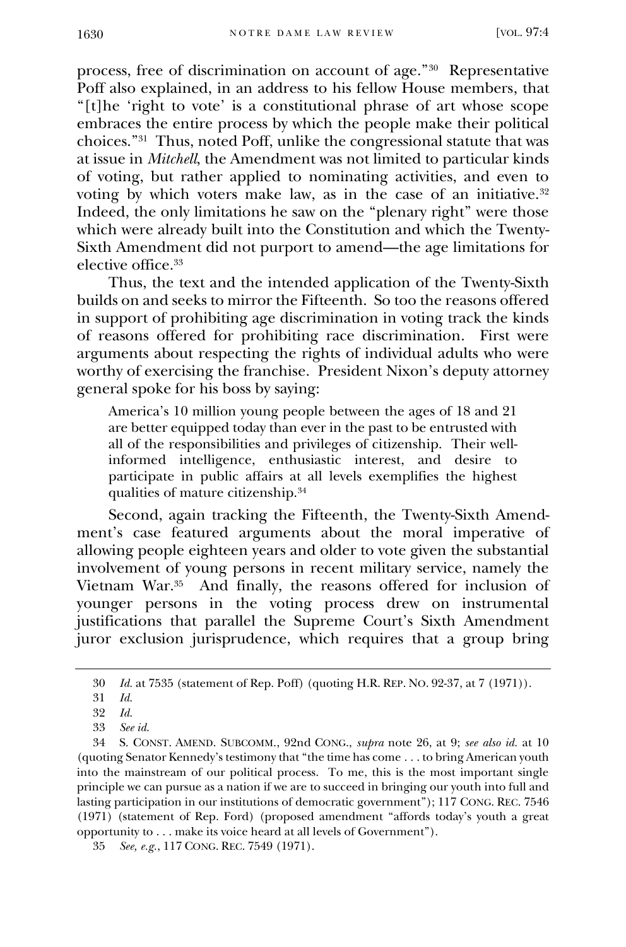process, free of discrimination on account of age."<sup>30</sup> Representative Poff also explained, in an address to his fellow House members, that "[t]he 'right to vote' is a constitutional phrase of art whose scope embraces the entire process by which the people make their political choices."<sup>31</sup> Thus, noted Poff, unlike the congressional statute that was at issue in *Mitchell*, the Amendment was not limited to particular kinds of voting, but rather applied to nominating activities, and even to voting by which voters make law, as in the case of an initiative.<sup>32</sup> Indeed, the only limitations he saw on the "plenary right" were those which were already built into the Constitution and which the Twenty-Sixth Amendment did not purport to amend—the age limitations for elective office.<sup>33</sup>

Thus, the text and the intended application of the Twenty-Sixth builds on and seeks to mirror the Fifteenth. So too the reasons offered in support of prohibiting age discrimination in voting track the kinds of reasons offered for prohibiting race discrimination. First were arguments about respecting the rights of individual adults who were worthy of exercising the franchise. President Nixon's deputy attorney general spoke for his boss by saying:

America's 10 million young people between the ages of 18 and 21 are better equipped today than ever in the past to be entrusted with all of the responsibilities and privileges of citizenship. Their wellinformed intelligence, enthusiastic interest, and desire to participate in public affairs at all levels exemplifies the highest qualities of mature citizenship.<sup>34</sup>

Second, again tracking the Fifteenth, the Twenty-Sixth Amendment's case featured arguments about the moral imperative of allowing people eighteen years and older to vote given the substantial involvement of young persons in recent military service, namely the Vietnam War.<sup>35</sup> And finally, the reasons offered for inclusion of younger persons in the voting process drew on instrumental justifications that parallel the Supreme Court's Sixth Amendment juror exclusion jurisprudence, which requires that a group bring

<sup>30</sup> *Id.* at 7535 (statement of Rep. Poff) (quoting H.R. REP. NO. 92-37, at 7 (1971)).

<sup>31</sup> *Id.*

<sup>32</sup> *Id.*

<sup>33</sup> *See id.*

<sup>34</sup> S. CONST. AMEND. SUBCOMM., 92nd CONG., *supra* note 26, at 9; *see also id.* at 10 (quoting Senator Kennedy's testimony that "the time has come . . . to bring American youth into the mainstream of our political process. To me, this is the most important single principle we can pursue as a nation if we are to succeed in bringing our youth into full and lasting participation in our institutions of democratic government"); 117 CONG. REC. 7546 (1971) (statement of Rep. Ford) (proposed amendment "affords today's youth a great opportunity to . . . make its voice heard at all levels of Government").

<sup>35</sup> *See, e.g.*, 117 CONG. REC. 7549 (1971).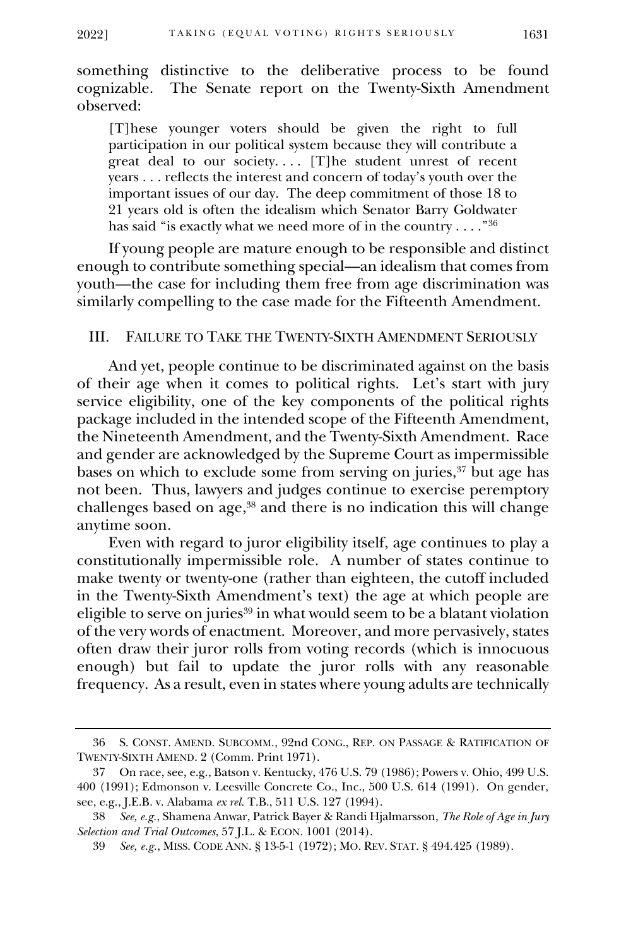something distinctive to the deliberative process to be found cognizable. The Senate report on the Twenty-Sixth Amendment observed:

[T]hese younger voters should be given the right to full participation in our political system because they will contribute a great deal to our society.... [T]he student unrest of recent years . . . reflects the interest and concern of today's youth over the important issues of our day. The deep commitment of those 18 to 21 years old is often the idealism which Senator Barry Goldwater has said "is exactly what we need more of in the country  $\ldots$  ." $^{36}$ 

If young people are mature enough to be responsible and distinct enough to contribute something special—an idealism that comes from youth—the case for including them free from age discrimination was similarly compelling to the case made for the Fifteenth Amendment.

#### III. FAILURE TO TAKE THE TWENTY-SIXTH AMENDMENT SERIOUSLY

And yet, people continue to be discriminated against on the basis of their age when it comes to political rights. Let's start with jury service eligibility, one of the key components of the political rights package included in the intended scope of the Fifteenth Amendment, the Nineteenth Amendment, and the Twenty-Sixth Amendment. Race and gender are acknowledged by the Supreme Court as impermissible bases on which to exclude some from serving on juries,<sup>37</sup> but age has not been. Thus, lawyers and judges continue to exercise peremptory challenges based on age,<sup>38</sup> and there is no indication this will change anytime soon.

Even with regard to juror eligibility itself, age continues to play a constitutionally impermissible role. A number of states continue to make twenty or twenty-one (rather than eighteen, the cutoff included in the Twenty-Sixth Amendment's text) the age at which people are eligible to serve on juries<sup>39</sup> in what would seem to be a blatant violation of the very words of enactment. Moreover, and more pervasively, states often draw their juror rolls from voting records (which is innocuous enough) but fail to update the juror rolls with any reasonable frequency. As a result, even in states where young adults are technically

<sup>36</sup> S. CONST. AMEND. SUBCOMM., 92nd CONG., REP. ON PASSAGE & RATIFICATION OF TWENTY-SIXTH AMEND. 2 (Comm. Print 1971).

<sup>37</sup> On race, see, e.g., Batson v. Kentucky, 476 U.S. 79 (1986); Powers v. Ohio, 499 U.S. 400 (1991); Edmonson v. Leesville Concrete Co., Inc., 500 U.S. 614 (1991). On gender, see, e.g., J.E.B. v. Alabama *ex rel.* T.B., 511 U.S. 127 (1994).

<sup>38</sup> *See, e.g.*, Shamena Anwar, Patrick Bayer & Randi Hjalmarsson, *The Role of Age in Jury Selection and Trial Outcomes*, 57 J.L. & ECON. 1001 (2014).

<sup>39</sup> *See, e.g.*, MISS. CODE ANN. § [13-5-1 \(1972\);](http://www.westlaw.com/Link/Document/FullText?findType=L&pubNum=1000933&cite=MSSTS13-5-1&originatingDoc=I5eec5e7123ea11dbbab99dfb880c57ae&refType=LQ&originationContext=document&vr=3.0&rs=cblt1.0&transitionType=DocumentItem&contextData=(sc.Search)) MO. REV. STAT. § [494.425](http://www.westlaw.com/Link/Document/FullText?findType=L&pubNum=1000229&cite=MOST494.425&originatingDoc=I5eec5e7123ea11dbbab99dfb880c57ae&refType=LQ&originationContext=document&vr=3.0&rs=cblt1.0&transitionType=DocumentItem&contextData=(sc.Search)) (1989).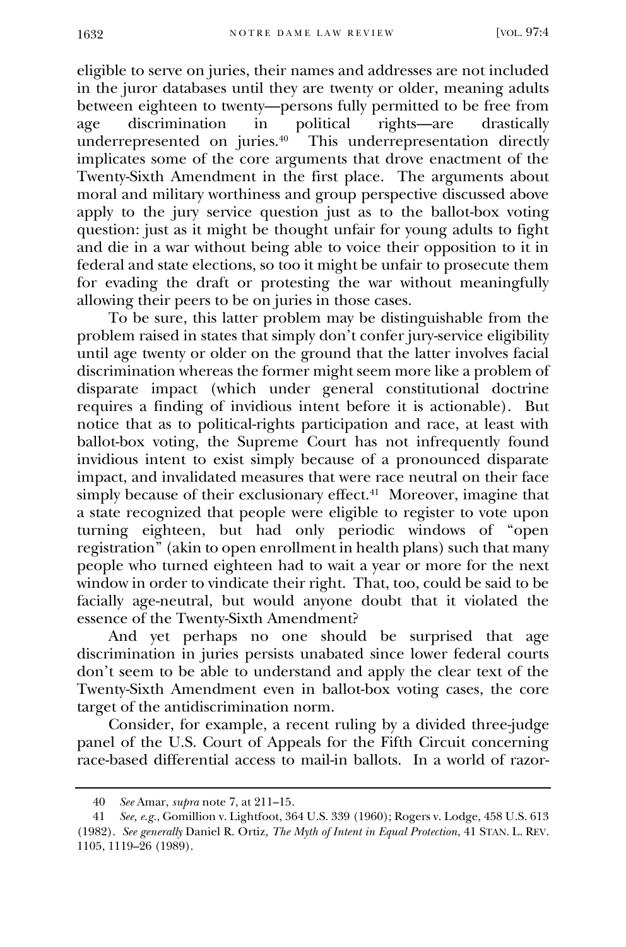eligible to serve on juries, their names and addresses are not included in the juror databases until they are twenty or older, meaning adults between eighteen to twenty—persons fully permitted to be free from<br>age discrimination in political rights—are drastically age discrimination in political rights—are drastically underrepresented on juries.<sup>40</sup> This underrepresentation directly implicates some of the core arguments that drove enactment of the Twenty-Sixth Amendment in the first place. The arguments about moral and military worthiness and group perspective discussed above apply to the jury service question just as to the ballot-box voting question: just as it might be thought unfair for young adults to fight and die in a war without being able to voice their opposition to it in federal and state elections, so too it might be unfair to prosecute them for evading the draft or protesting the war without meaningfully allowing their peers to be on juries in those cases.

To be sure, this latter problem may be distinguishable from the problem raised in states that simply don't confer jury-service eligibility until age twenty or older on the ground that the latter involves facial discrimination whereas the former might seem more like a problem of disparate impact (which under general constitutional doctrine requires a finding of invidious intent before it is actionable). But notice that as to political-rights participation and race, at least with ballot-box voting, the Supreme Court has not infrequently found invidious intent to exist simply because of a pronounced disparate impact, and invalidated measures that were race neutral on their face simply because of their exclusionary effect.<sup>41</sup> Moreover, imagine that a state recognized that people were eligible to register to vote upon turning eighteen, but had only periodic windows of "open registration" (akin to open enrollment in health plans) such that many people who turned eighteen had to wait a year or more for the next window in order to vindicate their right. That, too, could be said to be facially age-neutral, but would anyone doubt that it violated the essence of the Twenty-Sixth Amendment?

And yet perhaps no one should be surprised that age discrimination in juries persists unabated since lower federal courts don't seem to be able to understand and apply the clear text of the Twenty-Sixth Amendment even in ballot-box voting cases, the core target of the antidiscrimination norm.

Consider, for example, a recent ruling by a divided three-judge panel of the U.S. Court of Appeals for the Fifth Circuit concerning race-based differential access to mail-in ballots. In a world of razor-

<sup>40</sup> *See* Amar, *supra* note 7, at 211–15.

<sup>41</sup> *See, e.g.*, Gomillion v. Lightfoot, 364 U.S. 339 (1960); Rogers v. Lodge, 458 U.S. 613 (1982). *See generally* Daniel R. Ortiz*[, The Myth of Intent in Equal Protection](http://www.westlaw.com/Link/Document/FullText?findType=Y&serNum=0100662759&pubNum=1239&originatingDoc=I5eec5e7123ea11dbbab99dfb880c57ae&refType=LR&fi=co_pp_sp_1239_1119&originationContext=document&vr=3.0&rs=cblt1.0&transitionType=DocumentItem&contextData=(sc.Search)#co_pp_sp_1239_1119)*, 41 STAN. L. REV. [1105, 1119](http://www.westlaw.com/Link/Document/FullText?findType=Y&serNum=0100662759&pubNum=1239&originatingDoc=I5eec5e7123ea11dbbab99dfb880c57ae&refType=LR&fi=co_pp_sp_1239_1119&originationContext=document&vr=3.0&rs=cblt1.0&transitionType=DocumentItem&contextData=(sc.Search)#co_pp_sp_1239_1119)–26 (1989).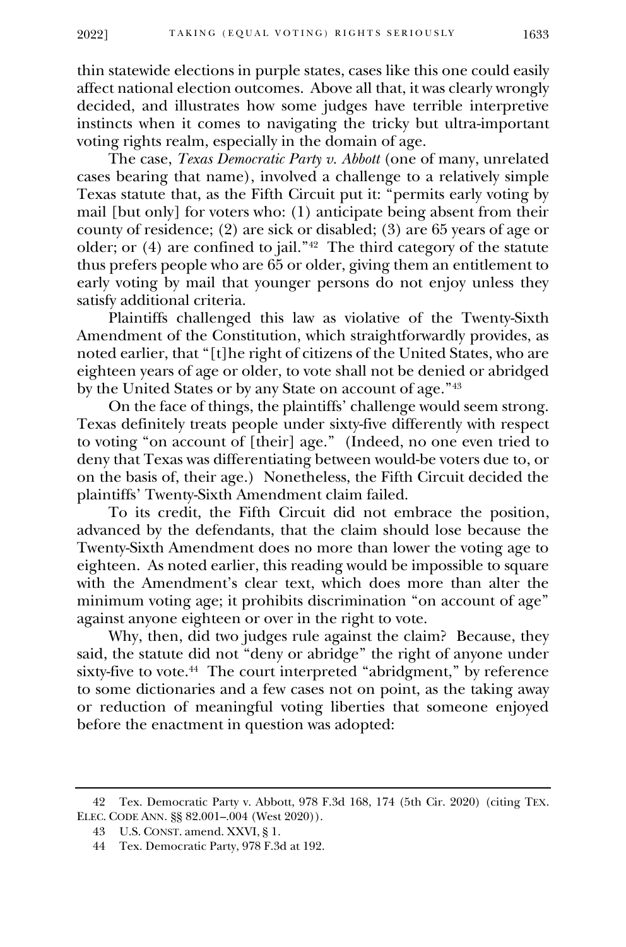thin statewide elections in purple states, cases like this one could easily affect national election outcomes. Above all that, it was clearly wrongly decided, and illustrates how some judges have terrible interpretive instincts when it comes to navigating the tricky but ultra-important voting rights realm, especially in the domain of age.

The case, *[Texas Democratic Party v. Abbott](https://law.justia.com/cases/federal/appellate-courts/ca5/20-50407/20-50407-2020-09-10.html)* (one of many, unrelated cases bearing that name), involved a challenge to a relatively simple Texas statute that, as the Fifth Circuit put it: "permits early voting by mail [but only] for voters who: (1) anticipate being absent from their county of residence; (2) are sick or disabled; (3) are 65 years of age or older; or (4) are confined to jail."<sup>42</sup> The third category of the statute thus prefers people who are 65 or older, giving them an entitlement to early voting by mail that younger persons do not enjoy unless they satisfy additional criteria.

Plaintiffs challenged this law as violative of the Twenty-Sixth Amendment of the Constitution, which straightforwardly provides, as noted earlier, that "[t]he right of citizens of the United States, who are eighteen years of age or older, to vote shall not be denied or abridged by the United States or by any State on account of age."<sup>43</sup>

On the face of things, the plaintiffs' challenge would seem strong. Texas definitely treats people under sixty-five differently with respect to voting "on account of [their] age." (Indeed, no one even tried to deny that Texas was differentiating between would-be voters due to, or on the basis of, their age.) Nonetheless, the Fifth Circuit decided the plaintiffs' Twenty-Sixth Amendment claim failed.

To its credit, the Fifth Circuit did not embrace the position, advanced by the defendants, that the claim should lose because the Twenty-Sixth Amendment does no more than lower the voting age to eighteen. As noted earlier, this reading would be impossible to square with the Amendment's clear text, which does more than alter the minimum voting age; it prohibits discrimination "on account of age" against anyone eighteen or over in the right to vote.

Why, then, did two judges rule against the claim? Because, they said, the statute did not "deny or abridge" the right of anyone under sixty-five to vote.<sup>44</sup> The court interpreted "abridgment," by reference to some dictionaries and a few cases not on point, as the taking away or reduction of meaningful voting liberties that someone enjoyed before the enactment in question was adopted:

<sup>42</sup> Tex. Democratic Party v. Abbott, 978 F.3d 168, 174 (5th Cir. 2020) (citing TEX. ELEC. CODE ANN. §§ 82.001–.004 (West 2020)).

<sup>43</sup> U.S. CONST. amend. XXVI, § 1.

<sup>44</sup> Tex. Democratic Party, 978 F.3d at 192.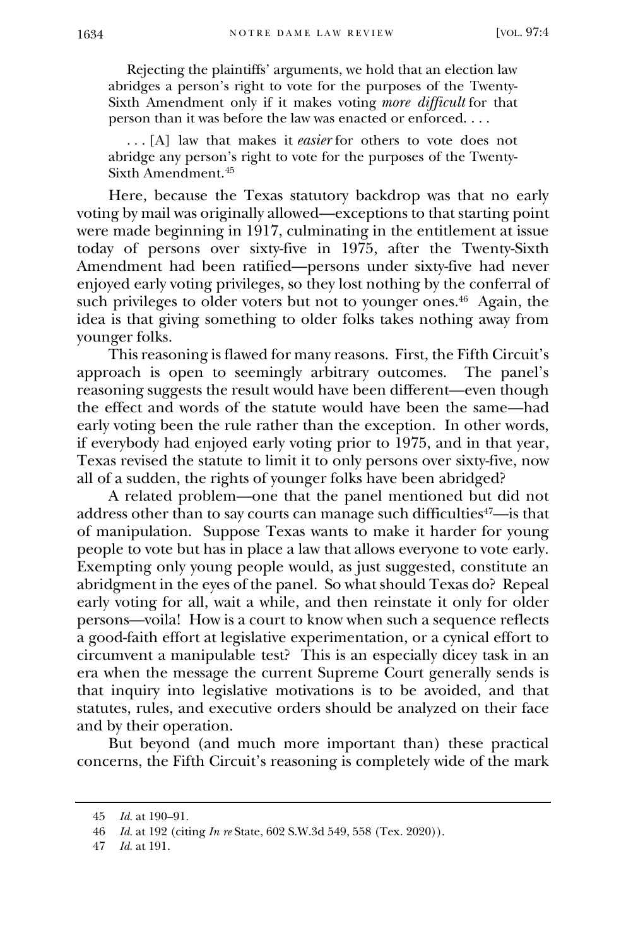Rejecting the plaintiffs' arguments, we hold that an election law abridges a person's right to vote for the purposes of the Twenty-Sixth Amendment only if it makes voting *more difficult* for that person than it was before the law was enacted or enforced. . . .

 . . . [A] law that makes it *easier* for others to vote does not abridge any person's right to vote for the purposes of the Twenty-Sixth Amendment.<sup>45</sup>

Here, because the Texas statutory backdrop was that no early voting by mail was originally allowed—exceptions to that starting point were made beginning in 1917, culminating in the entitlement at issue today of persons over sixty-five in 1975, after the Twenty-Sixth Amendment had been ratified—persons under sixty-five had never enjoyed early voting privileges, so they lost nothing by the conferral of such privileges to older voters but not to younger ones. 46 Again, the idea is that giving something to older folks takes nothing away from younger folks.

This reasoning is flawed for many reasons. First, the Fifth Circuit's approach is open to seemingly arbitrary outcomes. The panel's reasoning suggests the result would have been different—even though the effect and words of the statute would have been the same—had early voting been the rule rather than the exception. In other words, if everybody had enjoyed early voting prior to 1975, and in that year, Texas revised the statute to limit it to only persons over sixty-five, now all of a sudden, the rights of younger folks have been abridged?

A related problem—one that the panel mentioned but did not address other than to say courts can manage such difficulties<sup>47</sup>—is that of manipulation. Suppose Texas wants to make it harder for young people to vote but has in place a law that allows everyone to vote early. Exempting only young people would, as just suggested, constitute an abridgment in the eyes of the panel. So what should Texas do? Repeal early voting for all, wait a while, and then reinstate it only for older persons—voila! How is a court to know when such a sequence reflects a good-faith effort at legislative experimentation, or a cynical effort to circumvent a manipulable test? This is an especially dicey task in an era when the message the current Supreme Court generally sends is that inquiry into legislative motivations is to be avoided, and that statutes, rules, and executive orders should be analyzed on their face and by their operation.

But beyond (and much more important than) these practical concerns, the Fifth Circuit's reasoning is completely wide of the mark

<sup>45</sup> *Id.* at 190–91.

<sup>46</sup> *Id.* at 192 (citing *In re* State, 602 S.W.3d 549, 558 (Tex. 2020)).

<sup>47</sup> *Id.* at 191.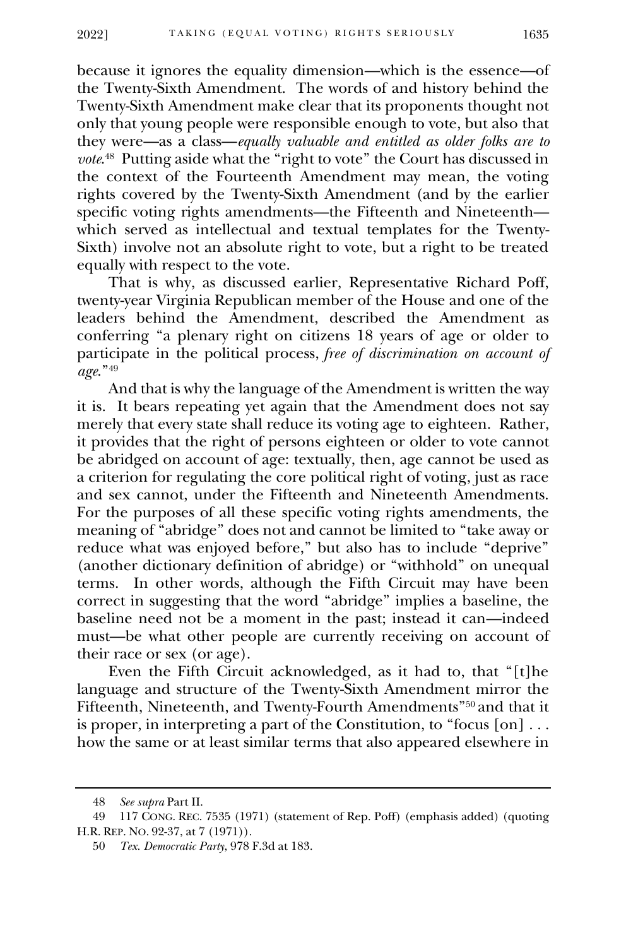because it ignores the equality dimension—which is the essence—of the Twenty-Sixth Amendment. The words of and history behind the Twenty-Sixth Amendment make clear that its proponents thought not only that young people were responsible enough to vote, but also that they were—as a class—*equally valuable and entitled as older folks are to vote*. 48 Putting aside what the "right to vote" the Court has discussed in the context of the Fourteenth Amendment may mean, the voting rights covered by the Twenty-Sixth Amendment (and by the earlier specific voting rights amendments—the Fifteenth and Nineteenth which served as intellectual and textual templates for the Twenty-Sixth) involve not an absolute right to vote, but a right to be treated equally with respect to the vote.

That is why, as discussed earlier, Representative Richard Poff, twenty-year Virginia Republican member of the House and one of the leaders behind the Amendment, described the Amendment as conferring "a plenary right on citizens 18 years of age or older to participate in the political process, *free of discrimination on account of age*."<sup>49</sup>

And that is why the language of the Amendment is written the way it is. It bears repeating yet again that the Amendment does not say merely that every state shall reduce its voting age to eighteen. Rather, it provides that the right of persons eighteen or older to vote cannot be abridged on account of age: textually, then, age cannot be used as a criterion for regulating the core political right of voting, just as race and sex cannot, under the Fifteenth and Nineteenth Amendments. For the purposes of all these specific voting rights amendments, the meaning of "abridge" does not and cannot be limited to "take away or reduce what was enjoyed before," but also has to include "deprive" (another dictionary definition of abridge) or "withhold" on unequal terms. In other words, although the Fifth Circuit may have been correct in suggesting that the word "abridge" implies a baseline, the baseline need not be a moment in the past; instead it can—indeed must—be what other people are currently receiving on account of their race or sex (or age).

Even the Fifth Circuit acknowledged, as it had to, that "[t]he language and structure of the Twenty-Sixth Amendment mirror the Fifteenth, Nineteenth, and Twenty-Fourth Amendments"<sup>50</sup> and that it is proper, in interpreting a part of the Constitution, to "focus  $[on] \ldots$ how the same or at least similar terms that also appeared elsewhere in

<sup>48</sup> *See supra* Part II.

<sup>49</sup> 117 CONG. REC. 7535 (1971) (statement of Rep. Poff) (emphasis added) (quoting H.R. REP. NO. 92-37, at 7 (1971)).

<sup>50</sup> *Tex. Democratic Party*, 978 F.3d at 183.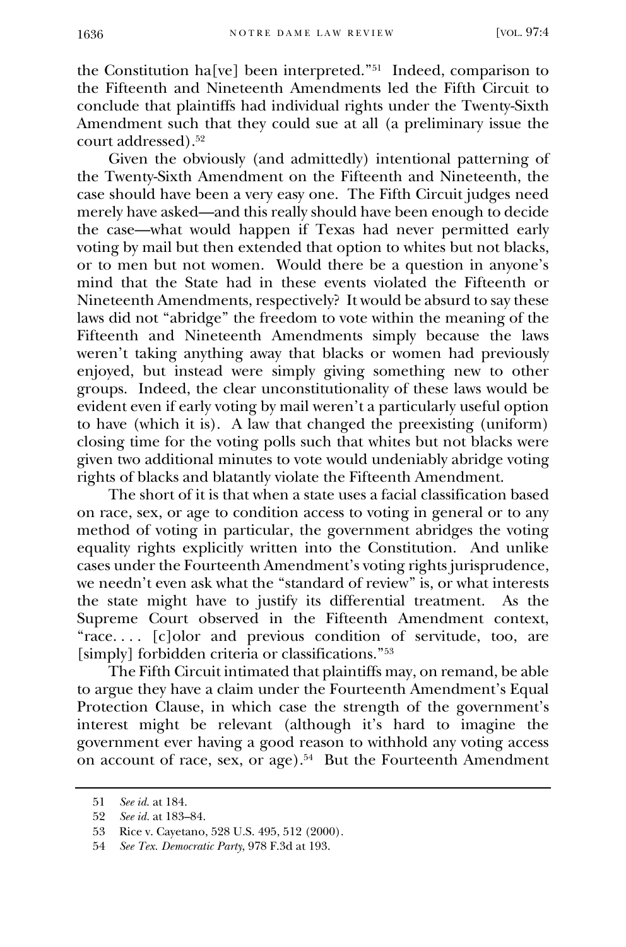the Constitution ha[ve] been interpreted."<sup>51</sup> Indeed, comparison to the Fifteenth and Nineteenth Amendments led the Fifth Circuit to conclude that plaintiffs had individual rights under the Twenty-Sixth Amendment such that they could sue at all (a preliminary issue the court addressed).<sup>52</sup>

Given the obviously (and admittedly) intentional patterning of the Twenty-Sixth Amendment on the Fifteenth and Nineteenth, the case should have been a very easy one. The Fifth Circuit judges need merely have asked—and this really should have been enough to decide the case—what would happen if Texas had never permitted early voting by mail but then extended that option to whites but not blacks, or to men but not women. Would there be a question in anyone's mind that the State had in these events violated the Fifteenth or Nineteenth Amendments, respectively? It would be absurd to say these laws did not "abridge" the freedom to vote within the meaning of the Fifteenth and Nineteenth Amendments simply because the laws weren't taking anything away that blacks or women had previously enjoyed, but instead were simply giving something new to other groups. Indeed, the clear unconstitutionality of these laws would be evident even if early voting by mail weren't a particularly useful option to have (which it is). A law that changed the preexisting (uniform) closing time for the voting polls such that whites but not blacks were given two additional minutes to vote would undeniably abridge voting rights of blacks and blatantly violate the Fifteenth Amendment.

The short of it is that when a state uses a facial classification based on race, sex, or age to condition access to voting in general or to any method of voting in particular, the government abridges the voting equality rights explicitly written into the Constitution. And unlike cases under the Fourteenth Amendment's voting rights jurisprudence, we needn't even ask what the "standard of review" is, or what interests the state might have to justify its differential treatment. As the Supreme Court observed in the Fifteenth Amendment context, "race. . . . [c]olor and previous condition of servitude, too, are [simply] forbidden criteria or classifications."<sup>53</sup>

The Fifth Circuit intimated that plaintiffs may, on remand, be able to argue they have a claim under the Fourteenth Amendment's Equal Protection Clause, in which case the strength of the government's interest might be relevant (although it's hard to imagine the government ever having a good reason to withhold any voting access on account of race, sex, or age).<sup>54</sup> But the Fourteenth Amendment

<sup>51</sup> *See id.* at 184.

<sup>52</sup> *See id.* at 183–84.

<sup>53</sup> Rice v. Cayetano, 528 U.S. 495, 512 (2000).

<sup>54</sup> *See Tex. Democratic Party*, 978 F.3d at 193.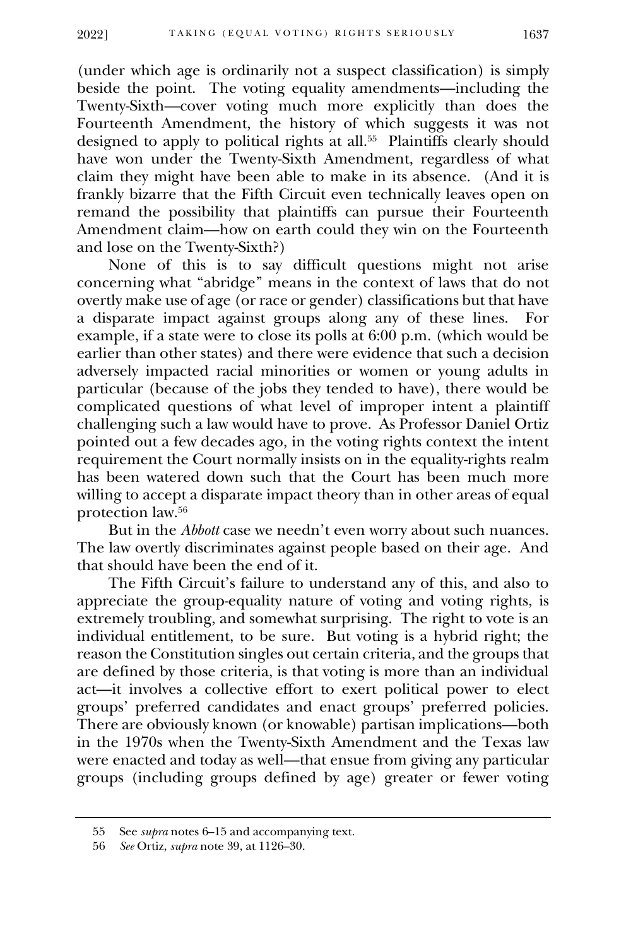(under which age is ordinarily not a suspect classification) is simply beside the point. The voting equality amendments—including the Twenty-Sixth—cover voting much more explicitly than does the Fourteenth Amendment, the history of which suggests it was not designed to apply to political rights at all.<sup>55</sup> Plaintiffs clearly should have won under the Twenty-Sixth Amendment, regardless of what claim they might have been able to make in its absence. (And it is frankly bizarre that the Fifth Circuit even technically leaves open on remand the possibility that plaintiffs can pursue their Fourteenth Amendment claim—how on earth could they win on the Fourteenth and lose on the Twenty-Sixth?)

None of this is to say difficult questions might not arise concerning what "abridge" means in the context of laws that do not overtly make use of age (or race or gender) classifications but that have a disparate impact against groups along any of these lines. For example, if a state were to close its polls at  $6:00$  p.m. (which would be earlier than other states) and there were evidence that such a decision adversely impacted racial minorities or women or young adults in particular (because of the jobs they tended to have), there would be complicated questions of what level of improper intent a plaintiff challenging such a law would have to prove. As Professor Daniel Ortiz pointed out a few decades ago, in the voting rights context the intent requirement the Court normally insists on in the equality-rights realm has been watered down such that the Court has been much more willing to accept a disparate impact theory than in other areas of equal protection law.<sup>56</sup>

But in the *Abbott* case we needn't even worry about such nuances. The law overtly discriminates against people based on their age. And that should have been the end of it.

The Fifth Circuit's failure to understand any of this, and also to appreciate the group-equality nature of voting and voting rights, is extremely troubling, and somewhat surprising. The right to vote is an individual entitlement, to be sure. But voting is a hybrid right; the reason the Constitution singles out certain criteria, and the groups that are defined by those criteria, is that voting is more than an individual act—it involves a collective effort to exert political power to elect groups' preferred candidates and enact groups' preferred policies. There are obviously known (or knowable) partisan implications—both in the 1970s when the Twenty-Sixth Amendment and the Texas law were enacted and today as well—that ensue from giving any particular groups (including groups defined by age) greater or fewer voting

<sup>55</sup> See *supra* notes 6–15 and accompanying text.

<sup>56</sup> *See* Ortiz, *supra* note 39, at 1126–30.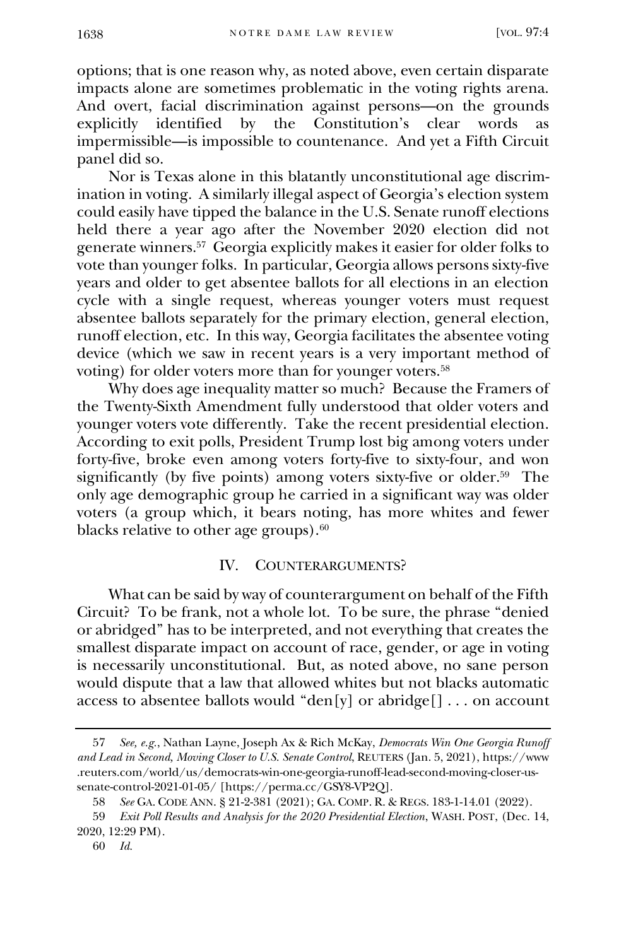options; that is one reason why, as noted above, even certain disparate impacts alone are sometimes problematic in the voting rights arena. And overt, facial discrimination against persons—on the grounds explicitly identified by the Constitution's clear words as impermissible—is impossible to countenance. And yet a Fifth Circuit panel did so.

Nor is Texas alone in this blatantly unconstitutional age discrimination in voting. A similarly illegal aspect of Georgia's election system could easily have tipped the balance in the U.S. Senate runoff elections held there a year ago after the November 2020 election did not generate winners.<sup>57</sup> Georgia explicitly makes it easier for older folks to vote than younger folks. In particular, Georgia allows persons sixty-five years and older to get absentee ballots for all elections in an election cycle with a single request, whereas younger voters must request absentee ballots separately for the primary election, general election, runoff election, etc. In this way, Georgia facilitates the absentee voting device (which we saw in recent years is a very important method of voting) for older voters more than for younger voters.<sup>58</sup>

Why does age inequality matter so much? Because the Framers of the Twenty-Sixth Amendment fully understood that older voters and younger voters vote differently. Take the recent presidential election. According to exit polls, President Trump lost big among voters under forty-five, broke even among voters forty-five to sixty-four, and won significantly (by five points) among voters sixty-five or older.<sup>59</sup> The only age demographic group he carried in a significant way was older voters (a group which, it bears noting, has more whites and fewer blacks relative to other age groups).<sup>60</sup>

#### IV. COUNTERARGUMENTS?

What can be said by way of counterargument on behalf of the Fifth Circuit? To be frank, not a whole lot. To be sure, the phrase "denied or abridged" has to be interpreted, and not everything that creates the smallest disparate impact on account of race, gender, or age in voting is necessarily unconstitutional. But, as noted above, no sane person would dispute that a law that allowed whites but not blacks automatic access to absentee ballots would "den[y] or abridge[] . . . on account

<sup>57</sup> *See, e.g.*, Nathan Layne, Joseph Ax & Rich McKay, *Democrats Win One Georgia Runoff and Lead in Second, Moving Closer to U.S. Senate Control*, REUTERS (Jan. 5, 2021), https://www .reuters.com/world/us/democrats-win-one-georgia-runoff-lead-second-moving-closer-ussenate-control-2021-01-05/ [https://perma.cc/GSY8-VP2Q].

<sup>58</sup> *See* GA. CODE ANN. § 21-2-381 (2021); GA. COMP. R. & REGS. 183-1-14.01 (2022).

<sup>59</sup> *Exit Poll Results and Analysis for the 2020 Presidential Election*, WASH. POST, (Dec. 14, 2020, 12:29 PM).

<sup>60</sup> *Id.*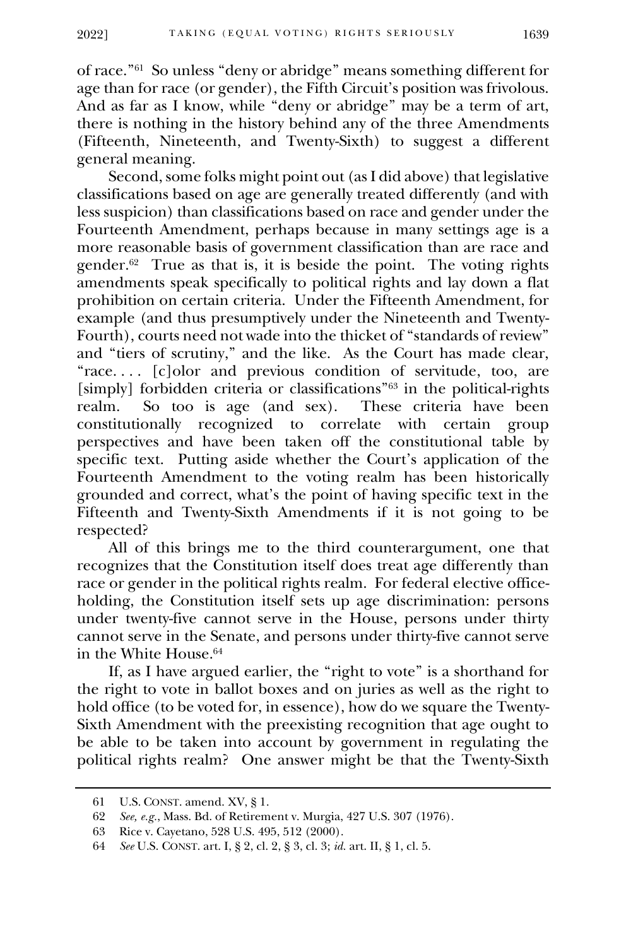2022] TAKING (EQUAL VOTING) RIGHTS SERIOUSLY 1639

of race."<sup>61</sup> So unless "deny or abridge" means something different for age than for race (or gender), the Fifth Circuit's position was frivolous. And as far as I know, while "deny or abridge" may be a term of art, there is nothing in the history behind any of the three Amendments (Fifteenth, Nineteenth, and Twenty-Sixth) to suggest a different general meaning.

Second, some folks might point out (as I did above) that legislative classifications based on age are generally treated differently (and with less suspicion) than classifications based on race and gender under the Fourteenth Amendment, perhaps because in many settings age is a more reasonable basis of government classification than are race and gender.<sup>62</sup> True as that is, it is beside the point. The voting rights amendments speak specifically to political rights and lay down a flat prohibition on certain criteria. Under the Fifteenth Amendment, for example (and thus presumptively under the Nineteenth and Twenty-Fourth), courts need not wade into the thicket of "standards of review" and "tiers of scrutiny," and the like. As the Court has made clear, "race. . . . [c]olor and previous condition of servitude, too, are [simply] forbidden criteria or classifications"<sup>63</sup> in the political-rights realm. So too is age (and sex). These criteria have been realm. So too is age (and sex). constitutionally recognized to correlate with certain group perspectives and have been taken off the constitutional table by specific text. Putting aside whether the Court's application of the Fourteenth Amendment to the voting realm has been historically grounded and correct, what's the point of having specific text in the Fifteenth and Twenty-Sixth Amendments if it is not going to be respected?

All of this brings me to the third counterargument, one that recognizes that the Constitution itself does treat age differently than race or gender in the political rights realm. For federal elective officeholding, the Constitution itself sets up age discrimination: persons under twenty-five cannot serve in the House, persons under thirty cannot serve in the Senate, and persons under thirty-five cannot serve in the White House.<sup>64</sup>

If, as I have argued earlier, the "right to vote" is a shorthand for the right to vote in ballot boxes and on juries as well as the right to hold office (to be voted for, in essence), how do we square the Twenty-Sixth Amendment with the preexisting recognition that age ought to be able to be taken into account by government in regulating the political rights realm? One answer might be that the Twenty-Sixth

<sup>61</sup> U.S. CONST. amend. XV, § 1.

<sup>62</sup> *See, e.g.*, Mass. Bd. of Retirement v. Murgia, 427 U.S. 307 (1976).

<sup>63</sup> Rice v. Cayetano, 528 U.S. 495, 512 (2000).

<sup>64</sup> *See* U.S. CONST. art. I, § 2, cl. 2, § 3, cl. 3; *id.* art. II, § 1, cl. 5.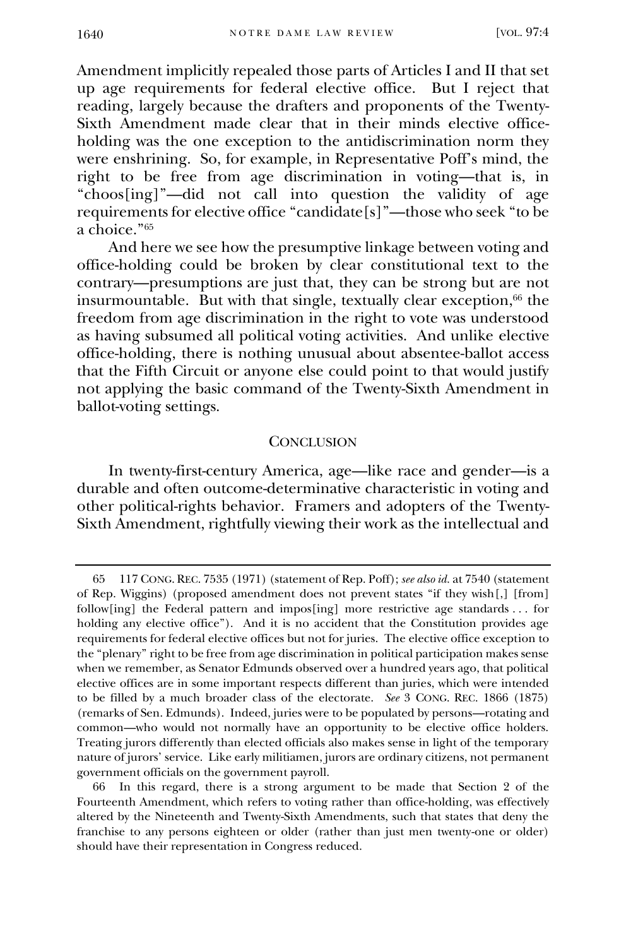Amendment implicitly repealed those parts of Articles I and II that set up age requirements for federal elective office. But I reject that reading, largely because the drafters and proponents of the Twenty-Sixth Amendment made clear that in their minds elective officeholding was the one exception to the antidiscrimination norm they were enshrining. So, for example, in Representative Poff's mind, the right to be free from age discrimination in voting—that is, in "choos[ing]"—did not call into question the validity of age requirements for elective office "candidate[s]"—those who seek "to be a choice."<sup>65</sup>

And here we see how the presumptive linkage between voting and office-holding could be broken by clear constitutional text to the contrary—presumptions are just that, they can be strong but are not insurmountable. But with that single, textually clear exception, $66$  the freedom from age discrimination in the right to vote was understood as having subsumed all political voting activities. And unlike elective office-holding, there is nothing unusual about absentee-ballot access that the Fifth Circuit or anyone else could point to that would justify not applying the basic command of the Twenty-Sixth Amendment in ballot-voting settings.

#### **CONCLUSION**

In twenty-first-century America, age—like race and gender—is a durable and often outcome-determinative characteristic in voting and other political-rights behavior. Framers and adopters of the Twenty-Sixth Amendment, rightfully viewing their work as the intellectual and

<sup>65</sup> 117 CONG. REC. 7535 (1971) (statement of Rep. Poff); *see also id.* at 7540 (statement of Rep. Wiggins) (proposed amendment does not prevent states "if they wish[,] [from] follow[ing] the Federal pattern and impos[ing] more restrictive age standards . . . for holding any elective office"). And it is no accident that the Constitution provides age requirements for federal elective offices but not for juries. The elective office exception to the "plenary" right to be free from age discrimination in political participation makes sense when we remember, as Senator Edmunds observed over a hundred years ago, that political elective offices are in some important respects different than juries, which were intended to be filled by a much broader class of the electorate. *See* 3 CONG. REC. 1866 (1875) (remarks of Sen. Edmunds). Indeed, juries were to be populated by persons—rotating and common—who would not normally have an opportunity to be elective office holders. Treating jurors differently than elected officials also makes sense in light of the temporary nature of jurors' service. Like early militiamen, jurors are ordinary citizens, not permanent government officials on the government payroll.

<sup>66</sup> In this regard, there is a strong argument to be made that Section 2 of the Fourteenth Amendment, which refers to voting rather than office-holding, was effectively altered by the Nineteenth and Twenty-Sixth Amendments, such that states that deny the franchise to any persons eighteen or older (rather than just men twenty-one or older) should have their representation in Congress reduced.